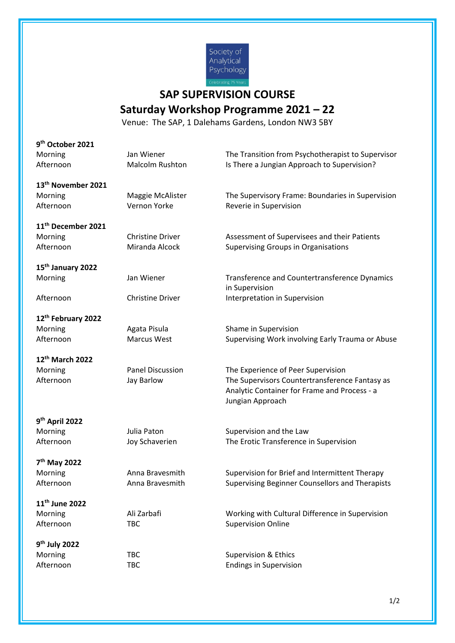

## **SAP SUPERVISION COURSE**

## **Saturday Workshop Programme 2021 – 22**

Venue: The SAP, 1 Dalehams Gardens, London NW3 5BY

| 9 <sup>th</sup> October 2021   |                         |                                                                                                                    |
|--------------------------------|-------------------------|--------------------------------------------------------------------------------------------------------------------|
| Morning                        | Jan Wiener              | The Transition from Psychotherapist to Supervisor                                                                  |
| Afternoon                      | <b>Malcolm Rushton</b>  | Is There a Jungian Approach to Supervision?                                                                        |
| 13 <sup>th</sup> November 2021 |                         |                                                                                                                    |
| Morning                        | Maggie McAlister        | The Supervisory Frame: Boundaries in Supervision                                                                   |
| Afternoon                      | Vernon Yorke            | Reverie in Supervision                                                                                             |
| 11 <sup>th</sup> December 2021 |                         |                                                                                                                    |
| Morning                        | <b>Christine Driver</b> | Assessment of Supervisees and their Patients                                                                       |
| Afternoon                      | Miranda Alcock          | <b>Supervising Groups in Organisations</b>                                                                         |
| 15 <sup>th</sup> January 2022  |                         |                                                                                                                    |
| Morning                        | Jan Wiener              | Transference and Countertransference Dynamics<br>in Supervision                                                    |
| Afternoon                      | <b>Christine Driver</b> | Interpretation in Supervision                                                                                      |
| 12 <sup>th</sup> February 2022 |                         |                                                                                                                    |
| Morning                        | Agata Pisula            | Shame in Supervision                                                                                               |
| Afternoon                      | <b>Marcus West</b>      | Supervising Work involving Early Trauma or Abuse                                                                   |
| 12th March 2022                |                         |                                                                                                                    |
| Morning                        | <b>Panel Discussion</b> | The Experience of Peer Supervision                                                                                 |
| Afternoon                      | Jay Barlow              | The Supervisors Countertransference Fantasy as<br>Analytic Container for Frame and Process - a<br>Jungian Approach |
| 9 <sup>th</sup> April 2022     |                         |                                                                                                                    |
| Morning                        | Julia Paton             | Supervision and the Law                                                                                            |
| Afternoon                      | Joy Schaverien          | The Erotic Transference in Supervision                                                                             |
| 7 <sup>th</sup> May 2022       |                         |                                                                                                                    |
| Morning                        | Anna Bravesmith         | Supervision for Brief and Intermittent Therapy                                                                     |
| Afternoon                      | Anna Bravesmith         | Supervising Beginner Counsellors and Therapists                                                                    |
| 11 <sup>th</sup> June 2022     |                         |                                                                                                                    |
| Morning                        | Ali Zarbafi             | Working with Cultural Difference in Supervision                                                                    |
| Afternoon                      | <b>TBC</b>              | <b>Supervision Online</b>                                                                                          |
| 9 <sup>th</sup> July 2022      |                         |                                                                                                                    |
| Morning                        | <b>TBC</b>              | <b>Supervision &amp; Ethics</b>                                                                                    |
| Afternoon                      | <b>TBC</b>              | <b>Endings in Supervision</b>                                                                                      |
|                                |                         |                                                                                                                    |